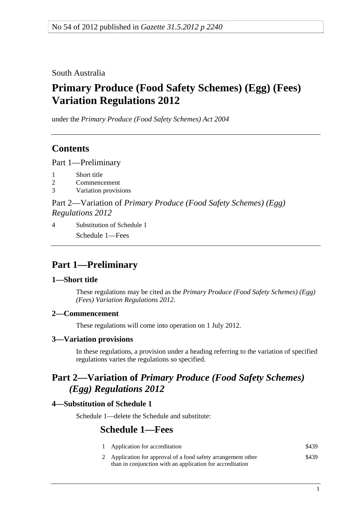### <span id="page-0-0"></span>South Australia

# **Primary Produce (Food Safety Schemes) (Egg) (Fees) Variation Regulations 2012**

under the *Primary Produce (Food Safety Schemes) Act 2004*

### **Contents**

[Part 1—Preliminary](#page-0-0)

- [1 Short title](#page-0-0)
- [2 Commencement](#page-0-0)
- [3 Variation provisions](#page-0-0)

Part 2—Variation of *[Primary Produce \(Food Safety Schemes\) \(Egg\)](#page-0-0)  [Regulations 2012](#page-0-0)*

[4 Substitution of Schedule 1](#page-0-0) [Schedule 1—Fees](#page-0-0) 

## **Part 1—Preliminary**

#### **1—Short title**

These regulations may be cited as the *Primary Produce (Food Safety Schemes) (Egg) (Fees) Variation Regulations 2012*.

#### **2—Commencement**

These regulations will come into operation on 1 July 2012.

#### **3—Variation provisions**

In these regulations, a provision under a heading referring to the variation of specified regulations varies the regulations so specified.

## **Part 2—Variation of** *Primary Produce (Food Safety Schemes) (Egg) Regulations 2012*

#### **4—Substitution of Schedule 1**

Schedule 1—delete the Schedule and substitute:

### **Schedule 1—Fees**

| Application for accreditation                                 | \$439 |
|---------------------------------------------------------------|-------|
| 2 Application for approval of a food safety arrangement other | \$439 |
| than in conjunction with an application for accreditation     |       |